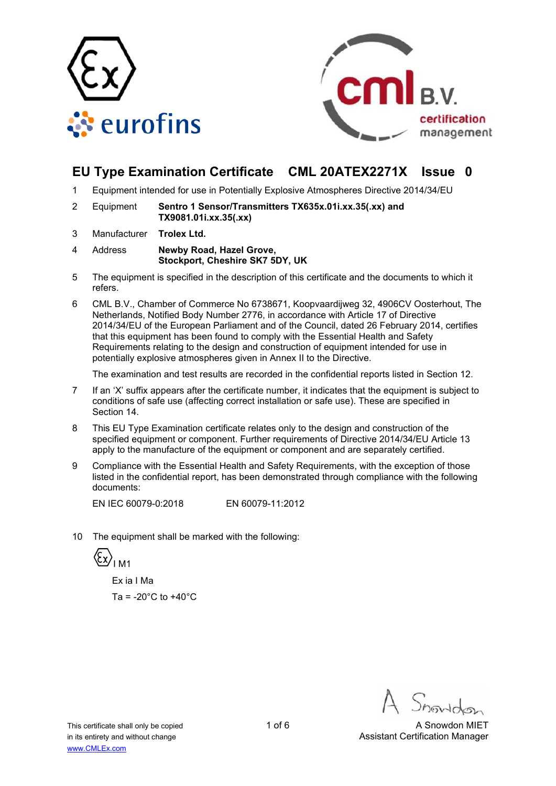



# **EU Type Examination Certificate CML 20ATEX2271X Issue 0**

- 1 Equipment intended for use in Potentially Explosive Atmospheres Directive 2014/34/EU
- 2 Equipment **Sentro 1 Sensor/Transmitters TX635x.01i.xx.35(.xx) and TX9081.01i.xx.35(.xx)**
- 3 Manufacturer **Trolex Ltd.**
- 4 Address **Newby Road, Hazel Grove, Stockport, Cheshire SK7 5DY, UK**
- 5 The equipment is specified in the description of this certificate and the documents to which it refers.
- 6 CML B.V., Chamber of Commerce No 6738671, Koopvaardijweg 32, 4906CV Oosterhout, The Netherlands, Notified Body Number 2776, in accordance with Article 17 of Directive 2014/34/EU of the European Parliament and of the Council, dated 26 February 2014, certifies that this equipment has been found to comply with the Essential Health and Safety Requirements relating to the design and construction of equipment intended for use in potentially explosive atmospheres given in Annex II to the Directive.

The examination and test results are recorded in the confidential reports listed in Section 12.

- 7 If an 'X' suffix appears after the certificate number, it indicates that the equipment is subject to conditions of safe use (affecting correct installation or safe use). These are specified in Section 14.
- 8 This EU Type Examination certificate relates only to the design and construction of the specified equipment or component. Further requirements of Directive 2014/34/EU Article 13 apply to the manufacture of the equipment or component and are separately certified.
- 9 Compliance with the Essential Health and Safety Requirements, with the exception of those listed in the confidential report, has been demonstrated through compliance with the following documents:

EN IEC 60079-0:2018 EN 60079-11:2012

10 The equipment shall be marked with the following:

 $\langle \overline{\xi_x} \rangle$ <sub>IM1</sub>

 Ex ia I Ma Ta =  $-20^{\circ}$ C to  $+40^{\circ}$ C

This certificate shall only be copied 1 of 6 A Snowdon MIET in its entirety and without change Assistant Certification Manager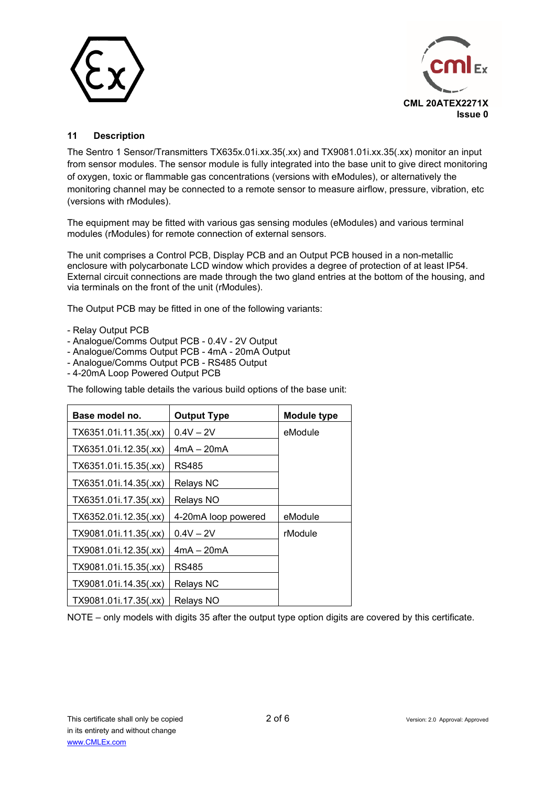



### **11 Description**

The Sentro 1 Sensor/Transmitters TX635x.01i.xx.35(.xx) and TX9081.01i.xx.35(.xx) monitor an input from sensor modules. The sensor module is fully integrated into the base unit to give direct monitoring of oxygen, toxic or flammable gas concentrations (versions with eModules), or alternatively the monitoring channel may be connected to a remote sensor to measure airflow, pressure, vibration, etc (versions with rModules).

The equipment may be fitted with various gas sensing modules (eModules) and various terminal modules (rModules) for remote connection of external sensors.

The unit comprises a Control PCB, Display PCB and an Output PCB housed in a non-metallic enclosure with polycarbonate LCD window which provides a degree of protection of at least IP54. External circuit connections are made through the two gland entries at the bottom of the housing, and via terminals on the front of the unit (rModules).

The Output PCB may be fitted in one of the following variants:

- Relay Output PCB
- Analogue/Comms Output PCB 0.4V 2V Output
- Analogue/Comms Output PCB 4mA 20mA Output
- Analogue/Comms Output PCB RS485 Output
- 4-20mA Loop Powered Output PCB

The following table details the various build options of the base unit:

| Base model no.        | <b>Output Type</b>  | <b>Module type</b> |
|-----------------------|---------------------|--------------------|
| TX6351.01i.11.35(.xx) | $0.4V - 2V$         | eModule            |
| TX6351.01i.12.35(.xx) | $4mA - 20mA$        |                    |
| TX6351.01i.15.35(.xx) | RS485               |                    |
| TX6351.01i.14.35(.xx) | <b>Relays NC</b>    |                    |
| TX6351.01i.17.35(.xx) | Relays NO           |                    |
| TX6352.01i.12.35(.xx) | 4-20mA loop powered | eModule            |
| TX9081.01i.11.35(.xx) | $0.4V - 2V$         | rModule            |
| TX9081.01i.12.35(.xx) | $4mA - 20mA$        |                    |
| TX9081.01i.15.35(.xx) | RS485               |                    |
| TX9081.01i.14.35(.xx) | <b>Relays NC</b>    |                    |
| TX9081.01i.17.35(.xx) | Relays NO           |                    |

NOTE – only models with digits 35 after the output type option digits are covered by this certificate.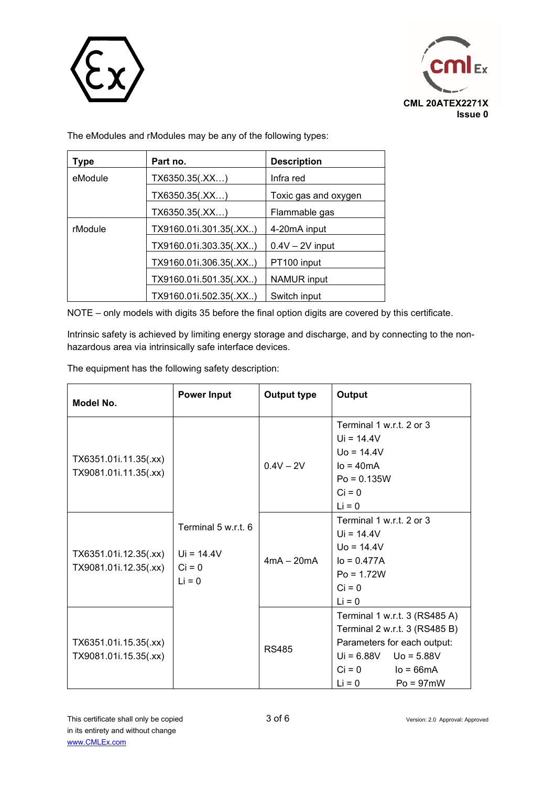



The eModules and rModules may be any of the following types:

| Type    | Part no.               | <b>Description</b>   |
|---------|------------------------|----------------------|
| eModule | TX6350.35(.XX)         | Infra red            |
|         | TX6350.35(.XX)         | Toxic gas and oxygen |
|         | TX6350.35(.XX)         | Flammable gas        |
| rModule | TX9160.01i.301.35(.XX) | 4-20mA input         |
|         | TX9160.01i.303.35(.XX) | $0.4V - 2V$ input    |
|         | TX9160.01i.306.35(.XX) | PT100 input          |
|         | TX9160.01i.501.35(.XX) | <b>NAMUR</b> input   |
|         | TX9160.01i.502.35(.XX) | Switch input         |

NOTE – only models with digits 35 before the final option digits are covered by this certificate.

Intrinsic safety is achieved by limiting energy storage and discharge, and by connecting to the nonhazardous area via intrinsically safe interface devices.

The equipment has the following safety description:

| Model No.                                      | <b>Power Input</b>                                          | Output type  | Output                                                                                                                                                                             |
|------------------------------------------------|-------------------------------------------------------------|--------------|------------------------------------------------------------------------------------------------------------------------------------------------------------------------------------|
| TX6351.01i.11.35(.xx)<br>TX9081.01i.11.35(.xx) | Terminal 5 w.r.t. 6<br>$Ui = 14.4V$<br>$Ci = 0$<br>$Li = 0$ | $0.4V - 2V$  | Terminal 1 w.r.t. 2 or 3<br>$Ui = 14.4V$<br>$U_0 = 14.4V$<br>$IO = 40mA$<br>$Po = 0.135W$<br>$Ci = 0$<br>$Li = 0$                                                                  |
| TX6351.01i.12.35(.xx)<br>TX9081.01i.12.35(.xx) |                                                             | $4mA - 20mA$ | Terminal 1 w.r.t. 2 or 3<br>$Ui = 14.4V$<br>$U_0 = 14.4V$<br>$I_0 = 0.477A$<br>$Po = 1.72W$<br>$Ci = 0$<br>$Li = 0$                                                                |
| TX6351.01i.15.35(.xx)<br>TX9081.01i.15.35(.xx) |                                                             | RS485        | Terminal 1 w.r.t. 3 (RS485 A)<br>Terminal 2 w.r.t. 3 (RS485 B)<br>Parameters for each output:<br>$Ui = 6.88V$ Uo = 5.88V<br>$Ci = 0$<br>$I$ o = 66m $A$<br>$Li = 0$<br>$Po = 97mW$ |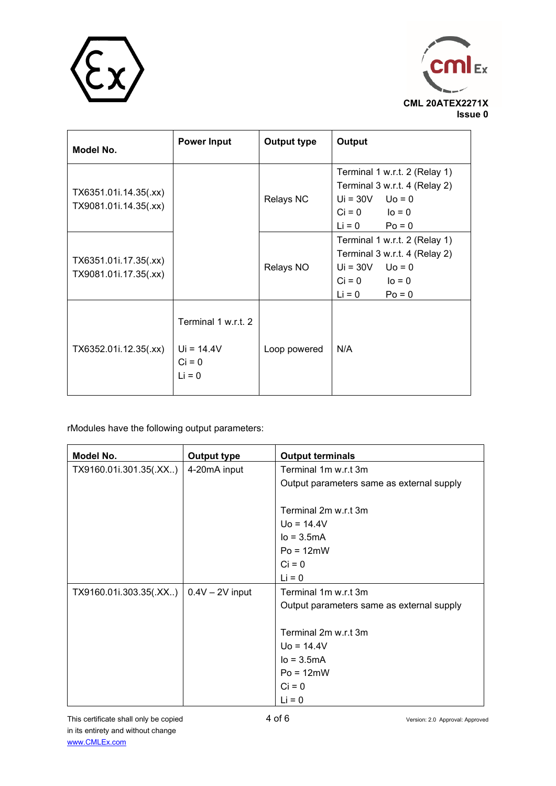



| Model No.                                      | <b>Power Input</b>                                          | <b>Output type</b> | Output                                                                                                                             |
|------------------------------------------------|-------------------------------------------------------------|--------------------|------------------------------------------------------------------------------------------------------------------------------------|
| TX6351.01i.14.35(.xx)<br>TX9081.01i.14.35(.xx) |                                                             | <b>Relays NC</b>   | Terminal 1 w.r.t. 2 (Relay 1)<br>Terminal 3 w.r.t. 4 (Relay 2)<br>$Ui = 30V$ $Uo = 0$<br>$Ci = 0$ $Io = 0$<br>$Li = 0$<br>$Po = 0$ |
| TX6351.01i.17.35(.xx)<br>TX9081.01i.17.35(.xx) |                                                             | Relays NO          | Terminal 1 w.r.t. 2 (Relay 1)<br>Terminal 3 w.r.t. 4 (Relay 2)<br>$Ui = 30V$ $Uo = 0$<br>$Ci = 0$ $Io = 0$<br>$Li = 0$<br>$Po = 0$ |
| TX6352.01i.12.35(.xx)                          | Terminal 1 w.r.t. 2<br>$Ui = 14.4V$<br>$Ci = 0$<br>$Li = 0$ | Loop powered       | N/A                                                                                                                                |

rModules have the following output parameters:

| Model No.                                | <b>Output type</b> | <b>Output terminals</b>                   |
|------------------------------------------|--------------------|-------------------------------------------|
| TX9160.01i.301.35(.XX)                   | 4-20mA input       | Terminal 1m w.r.t 3m                      |
|                                          |                    | Output parameters same as external supply |
|                                          |                    | Terminal 2m w.r.t 3m                      |
|                                          |                    | $U_0 = 14.4V$                             |
|                                          |                    | $Io = 3.5mA$                              |
|                                          |                    | $Po = 12mW$                               |
|                                          |                    | $Ci = 0$                                  |
|                                          |                    | $Li = 0$                                  |
| TX9160.01i.303.35(.XX)   0.4V - 2V input |                    | Terminal 1m w.r.t 3m                      |
|                                          |                    | Output parameters same as external supply |
|                                          |                    |                                           |
|                                          |                    | Terminal 2m w.r.t 3m                      |
|                                          |                    | $Uo = 14.4V$                              |
|                                          |                    | $Io = 3.5mA$                              |
|                                          |                    | $Po = 12mW$                               |
|                                          |                    | $Ci = 0$                                  |
|                                          |                    | $Li = 0$                                  |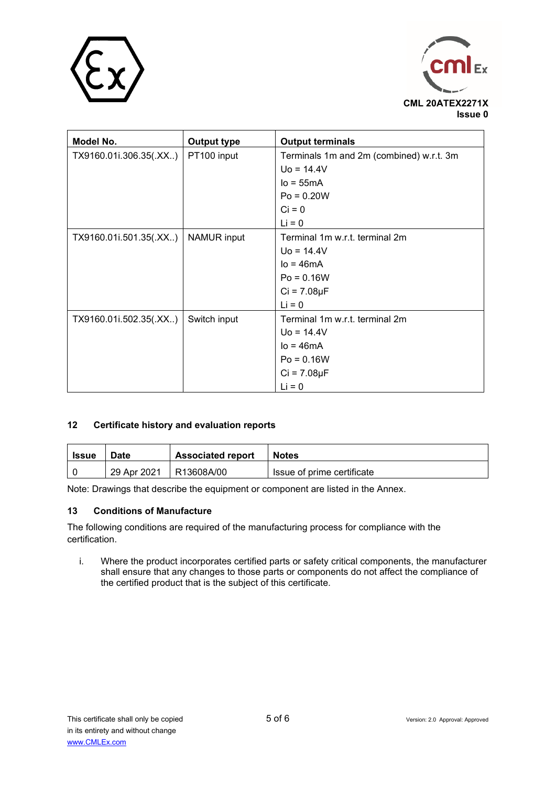



| Model No.              | <b>Output type</b> | <b>Output terminals</b>                  |
|------------------------|--------------------|------------------------------------------|
| TX9160.01i.306.35(.XX) | PT100 input        | Terminals 1m and 2m (combined) w.r.t. 3m |
|                        |                    | $U_0 = 14.4V$                            |
|                        |                    | $Io = 55mA$                              |
|                        |                    | $Po = 0.20W$                             |
|                        |                    | $Ci = 0$                                 |
|                        |                    | $Li = 0$                                 |
| TX9160.01i.501.35(.XX) | <b>NAMUR</b> input | Terminal 1m w.r.t. terminal 2m           |
|                        |                    | $U_0 = 14.4V$                            |
|                        |                    | $Io = 46mA$                              |
|                        |                    | $Po = 0.16W$                             |
|                        |                    | $Ci = 7.08\mu F$                         |
|                        |                    | $Li = 0$                                 |
| TX9160.01i.502.35(.XX) | Switch input       | Terminal 1m w.r.t. terminal 2m           |
|                        |                    | $U_0 = 14.4V$                            |
|                        |                    | $Io = 46mA$                              |
|                        |                    | $Po = 0.16W$                             |
|                        |                    | $Ci = 7.08 \mu F$                        |
|                        |                    | $Li = 0$                                 |

### **12 Certificate history and evaluation reports**

| Issue | Date        | <b>Associated report</b> | <b>Notes</b>               |  |  |
|-------|-------------|--------------------------|----------------------------|--|--|
|       | 29 Apr 2021 | R13608A/00               | Issue of prime certificate |  |  |

Note: Drawings that describe the equipment or component are listed in the Annex.

### **13 Conditions of Manufacture**

The following conditions are required of the manufacturing process for compliance with the certification.

i. Where the product incorporates certified parts or safety critical components, the manufacturer shall ensure that any changes to those parts or components do not affect the compliance of the certified product that is the subject of this certificate.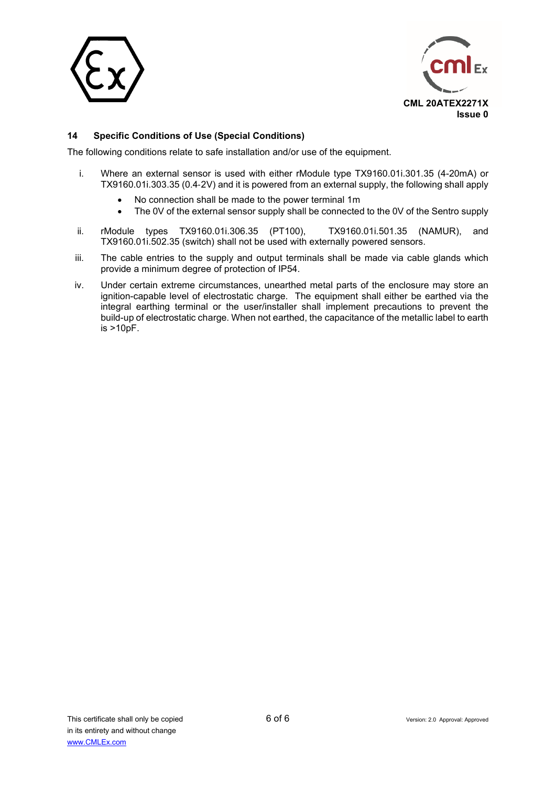



### **14 Specific Conditions of Use (Special Conditions)**

The following conditions relate to safe installation and/or use of the equipment.

- i. Where an external sensor is used with either rModule type TX9160.01i.301.35 (4-20mA) or TX9160.01i.303.35 (0.4‑2V) and it is powered from an external supply, the following shall apply
	- No connection shall be made to the power terminal 1m
	- The 0V of the external sensor supply shall be connected to the 0V of the Sentro supply
- ii. rModule types TX9160.01i.306.35 (PT100), TX9160.01i.501.35 (NAMUR), and TX9160.01i.502.35 (switch) shall not be used with externally powered sensors.
- iii. The cable entries to the supply and output terminals shall be made via cable glands which provide a minimum degree of protection of IP54.
- iv. Under certain extreme circumstances, unearthed metal parts of the enclosure may store an ignition-capable level of electrostatic charge. The equipment shall either be earthed via the integral earthing terminal or the user/installer shall implement precautions to prevent the build-up of electrostatic charge. When not earthed, the capacitance of the metallic label to earth is >10pF.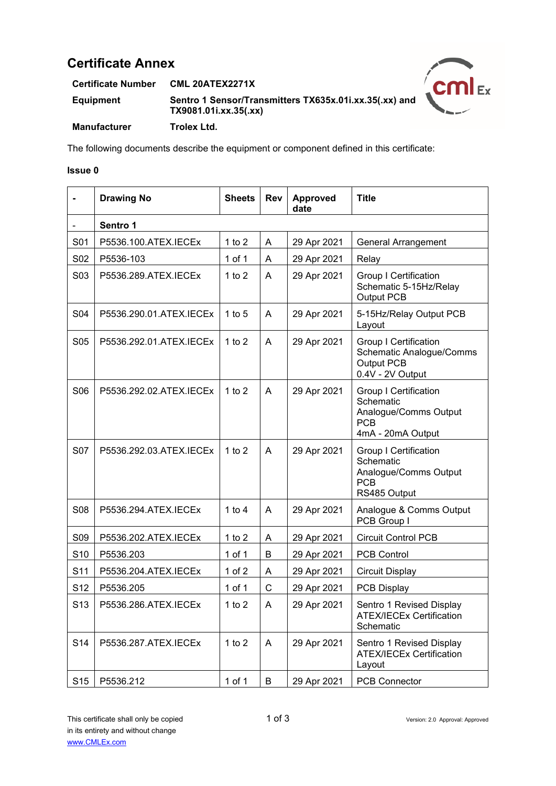# **Certificate Annex**

**Certificate Number CML 20ATEX2271X Equipment Sentro 1 Sensor/Transmitters TX635x.01i.xx.35(.xx) and TX9081.01i.xx.35(.xx) Manufacturer Trolex Ltd.**



The following documents describe the equipment or component defined in this certificate:

#### **Issue 0**

|                 | <b>Drawing No</b>       | <b>Sheets</b> | <b>Rev</b>   | <b>Approved</b><br>date | <b>Title</b>                                                                                          |  |  |  |
|-----------------|-------------------------|---------------|--------------|-------------------------|-------------------------------------------------------------------------------------------------------|--|--|--|
|                 | Sentro 1                |               |              |                         |                                                                                                       |  |  |  |
| S01             | P5536.100.ATEX.IECEx    | 1 to $2$      | A            | 29 Apr 2021             | <b>General Arrangement</b>                                                                            |  |  |  |
| S02             | P5536-103               | 1 of 1        | Α            | 29 Apr 2021             | Relay                                                                                                 |  |  |  |
| S03             | P5536.289.ATEX.IECEx    | 1 to $2$      | A            | 29 Apr 2021             | <b>Group I Certification</b><br>Schematic 5-15Hz/Relay<br>Output PCB                                  |  |  |  |
| <b>S04</b>      | P5536.290.01.ATEX.IECEx | 1 to $5$      | A            | 29 Apr 2021             | 5-15Hz/Relay Output PCB<br>Layout                                                                     |  |  |  |
| <b>S05</b>      | P5536.292.01.ATEX.IECEx | 1 to $2$      | A            | 29 Apr 2021             | <b>Group I Certification</b><br><b>Schematic Analogue/Comms</b><br>Output PCB<br>0.4V - 2V Output     |  |  |  |
| S <sub>06</sub> | P5536.292.02.ATEX.IECEx | 1 to $2$      | A            | 29 Apr 2021             | <b>Group I Certification</b><br>Schematic<br>Analogue/Comms Output<br><b>PCB</b><br>4mA - 20mA Output |  |  |  |
| <b>S07</b>      | P5536.292.03.ATEX.IECEx | 1 to $2$      | A            | 29 Apr 2021             | <b>Group I Certification</b><br>Schematic<br>Analogue/Comms Output<br><b>PCB</b><br>RS485 Output      |  |  |  |
| <b>S08</b>      | P5536.294.ATEX.IECEx    | 1 to $4$      | A            | 29 Apr 2021             | Analogue & Comms Output<br>PCB Group I                                                                |  |  |  |
| <b>S09</b>      | P5536.202.ATEX.IECEx    | 1 to $2$      | A            | 29 Apr 2021             | <b>Circuit Control PCB</b>                                                                            |  |  |  |
| S <sub>10</sub> | P5536.203               | 1 of 1        | B            | 29 Apr 2021             | <b>PCB Control</b>                                                                                    |  |  |  |
| S <sub>11</sub> | P5536.204.ATEX.IECEx    | 1 of $2$      | A            | 29 Apr 2021             | <b>Circuit Display</b>                                                                                |  |  |  |
| S <sub>12</sub> | P5536.205               | $1$ of $1$    | $\mathsf{C}$ | 29 Apr 2021             | PCB Display                                                                                           |  |  |  |
| S <sub>13</sub> | P5536.286.ATEX.IECEx    | 1 to $2$      | A            | 29 Apr 2021             | Sentro 1 Revised Display<br><b>ATEX/IECEx Certification</b><br>Schematic                              |  |  |  |
| S14             | P5536.287.ATEX.IECEx    | 1 to $2$      | A            | 29 Apr 2021             | Sentro 1 Revised Display<br><b>ATEX/IECEx Certification</b><br>Layout                                 |  |  |  |
| S <sub>15</sub> | P5536.212               | 1 of $1$      | B            | 29 Apr 2021             | <b>PCB Connector</b>                                                                                  |  |  |  |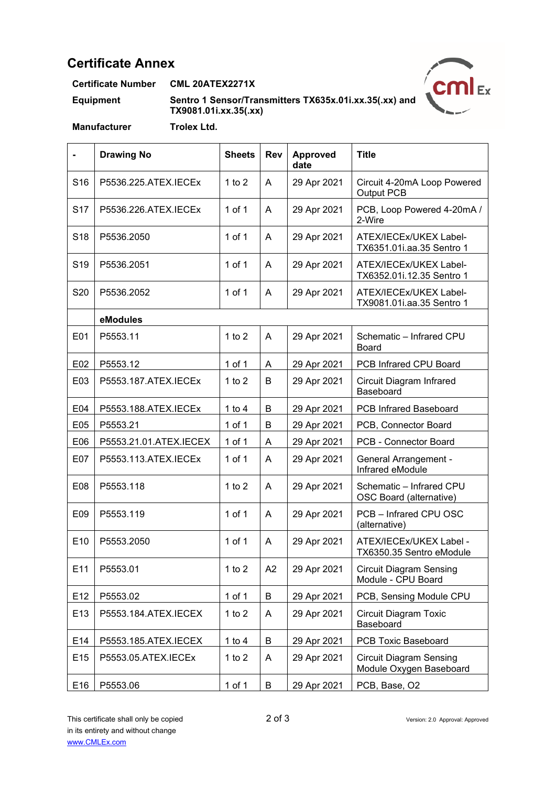# **Certificate Annex**

**Certificate Number CML 20ATEX2271X**

**Equipment Sentro 1 Sensor/Transmitters TX635x.01i.xx.35(.xx) and TX9081.01i.xx.35(.xx)**



**Manufacturer Trolex Ltd.**

|                 | <b>Drawing No</b>      | <b>Sheets</b> | <b>Rev</b> | Approved<br>date | <b>Title</b>                                              |
|-----------------|------------------------|---------------|------------|------------------|-----------------------------------------------------------|
| S <sub>16</sub> | P5536.225.ATEX.IECEx   | 1 to $2$      | A          | 29 Apr 2021      | Circuit 4-20mA Loop Powered<br>Output PCB                 |
| S <sub>17</sub> | P5536.226.ATEX.IECEx   | $1$ of $1$    | A          | 29 Apr 2021      | PCB, Loop Powered 4-20mA /<br>2-Wire                      |
| S <sub>18</sub> | P5536.2050             | $1$ of $1$    | A          | 29 Apr 2021      | ATEX/IECEx/UKEX Label-<br>TX6351.01i.aa.35 Sentro 1       |
| S <sub>19</sub> | P5536.2051             | 1 of 1        | A          | 29 Apr 2021      | ATEX/IECEx/UKEX Label-<br>TX6352.01i.12.35 Sentro 1       |
| S20             | P5536.2052             | 1 of 1        | A          | 29 Apr 2021      | ATEX/IECEx/UKEX Label-<br>TX9081.01i.aa.35 Sentro 1       |
|                 | eModules               |               |            |                  |                                                           |
| E01             | P5553.11               | $1$ to $2$    | A          | 29 Apr 2021      | Schematic - Infrared CPU<br>Board                         |
| E02             | P5553.12               | $1$ of $1$    | A          | 29 Apr 2021      | PCB Infrared CPU Board                                    |
| E03             | P5553.187.ATEX.IECEx   | 1 to $2$      | B          | 29 Apr 2021      | Circuit Diagram Infrared<br>Baseboard                     |
| E04             | P5553.188.ATEX.IECEx   | 1 to $4$      | B          | 29 Apr 2021      | <b>PCB Infrared Baseboard</b>                             |
| E05             | P5553.21               | 1 of 1        | B          | 29 Apr 2021      | PCB, Connector Board                                      |
| E06             | P5553.21.01.ATEX.IECEX | 1 of 1        | A          | 29 Apr 2021      | PCB - Connector Board                                     |
| E07             | P5553.113.ATEX.IECEx   | 1 of 1        | A          | 29 Apr 2021      | <b>General Arrangement -</b><br>Infrared eModule          |
| E08             | P5553.118              | 1 to $2$      | A          | 29 Apr 2021      | Schematic - Infrared CPU<br>OSC Board (alternative)       |
| E09             | P5553.119              | $1$ of $1$    | A          | 29 Apr 2021      | PCB - Infrared CPU OSC<br>(alternative)                   |
| E10             | P5553.2050             | $1$ of $1$    | A          | 29 Apr 2021      | ATEX/IECEx/UKEX Label -<br>TX6350.35 Sentro eModule       |
| E11             | P5553.01               | 1 to $2$      | A2         | 29 Apr 2021      | <b>Circuit Diagram Sensing</b><br>Module - CPU Board      |
| E12             | P5553.02               | $1$ of $1$    | B          | 29 Apr 2021      | PCB, Sensing Module CPU                                   |
| E13             | P5553.184.ATEX.IECEX   | 1 to $2$      | A          | 29 Apr 2021      | <b>Circuit Diagram Toxic</b><br>Baseboard                 |
| E14             | P5553.185.ATEX.IECEX   | 1 to $4$      | B          | 29 Apr 2021      | PCB Toxic Baseboard                                       |
| E15             | P5553.05.ATEX.IECEx    | 1 to $2$      | A          | 29 Apr 2021      | <b>Circuit Diagram Sensing</b><br>Module Oxygen Baseboard |
| E16             | P5553.06               | $1$ of $1$    | B          | 29 Apr 2021      | PCB, Base, O2                                             |